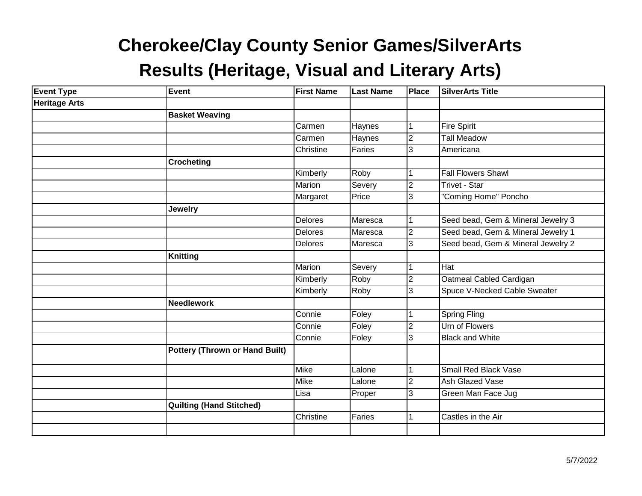| <b>Event Type</b>    | <b>Event</b>                          | <b>First Name</b> | <b>Last Name</b> | Place          | <b>SilverArts Title</b>             |
|----------------------|---------------------------------------|-------------------|------------------|----------------|-------------------------------------|
| <b>Heritage Arts</b> |                                       |                   |                  |                |                                     |
|                      | <b>Basket Weaving</b>                 |                   |                  |                |                                     |
|                      |                                       | Carmen            | Haynes           |                | <b>Fire Spirit</b>                  |
|                      |                                       | Carmen            | Haynes           | $\overline{2}$ | <b>Tall Meadow</b>                  |
|                      |                                       | Christine         | Faries           | 3              | Americana                           |
|                      | <b>Crocheting</b>                     |                   |                  |                |                                     |
|                      |                                       | Kimberly          | Roby             |                | <b>Fall Flowers Shawl</b>           |
|                      |                                       | Marion            | Severy           | $\overline{2}$ | <b>Trivet - Star</b>                |
|                      |                                       | Margaret          | Price            | 3              | "Coming Home" Poncho                |
|                      | <b>Jewelry</b>                        |                   |                  |                |                                     |
|                      |                                       | Delores           | Maresca          |                | Seed bead, Gem & Mineral Jewelry 3  |
|                      |                                       | <b>Delores</b>    | Maresca          | $\overline{2}$ | Seed bead, Gem & Mineral Jewelry 1  |
|                      |                                       | Delores           | Maresca          | 3              | Seed bead, Gem & Mineral Jewelry 2  |
|                      | <b>Knitting</b>                       |                   |                  |                |                                     |
|                      |                                       | Marion            | Severy           |                | Hat                                 |
|                      |                                       | Kimberly          | Roby             | $\overline{2}$ | Oatmeal Cabled Cardigan             |
|                      |                                       | Kimberly          | Roby             | 3              | <b>Spuce V-Necked Cable Sweater</b> |
|                      | <b>Needlework</b>                     |                   |                  |                |                                     |
|                      |                                       | Connie            | Foley            |                | <b>Spring Fling</b>                 |
|                      |                                       | Connie            | Foley            | $\overline{2}$ | Urn of Flowers                      |
|                      |                                       | Connie            | Foley            | 3              | <b>Black and White</b>              |
|                      | <b>Pottery (Thrown or Hand Built)</b> |                   |                  |                |                                     |
|                      |                                       | <b>Mike</b>       | Lalone           |                | <b>Small Red Black Vase</b>         |
|                      |                                       | <b>Mike</b>       | Lalone           | $\overline{2}$ | <b>Ash Glazed Vase</b>              |
|                      |                                       | Lisa              | Proper           | 3              | Green Man Face Jug                  |
|                      | <b>Quilting (Hand Stitched)</b>       |                   |                  |                |                                     |
|                      |                                       | Christine         | Faries           |                | Castles in the Air                  |
|                      |                                       |                   |                  |                |                                     |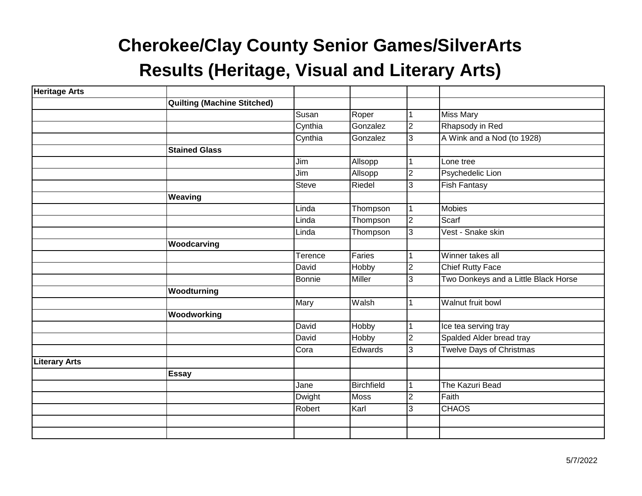| <b>Heritage Arts</b> |                                    |               |                   |                |                                      |
|----------------------|------------------------------------|---------------|-------------------|----------------|--------------------------------------|
|                      | <b>Quilting (Machine Stitched)</b> |               |                   |                |                                      |
|                      |                                    | Susan         | Roper             |                | <b>Miss Mary</b>                     |
|                      |                                    | Cynthia       | Gonzalez          | $\overline{c}$ | Rhapsody in Red                      |
|                      |                                    | Cynthia       | Gonzalez          | 3              | A Wink and a Nod (to 1928)           |
|                      | <b>Stained Glass</b>               |               |                   |                |                                      |
|                      |                                    | Jim           | Allsopp           | 1              | Lone tree                            |
|                      |                                    | Jim           | Allsopp           | $\overline{c}$ | Psychedelic Lion                     |
|                      |                                    | <b>Steve</b>  | Riedel            | 3              | <b>Fish Fantasy</b>                  |
|                      | Weaving                            |               |                   |                |                                      |
|                      |                                    | Linda         | Thompson          | $\mathbf{1}$   | <b>Mobies</b>                        |
|                      |                                    | Linda         | Thompson          | $\overline{2}$ | Scarf                                |
|                      |                                    | Linda         | Thompson          | 3              | Vest - Snake skin                    |
|                      | Woodcarving                        |               |                   |                |                                      |
|                      |                                    | Terence       | Faries            | 1              | Winner takes all                     |
|                      |                                    | David         | Hobby             | $\overline{2}$ | <b>Chief Rutty Face</b>              |
|                      |                                    | <b>Bonnie</b> | Miller            | 3              | Two Donkeys and a Little Black Horse |
|                      | Woodturning                        |               |                   |                |                                      |
|                      |                                    | <b>Mary</b>   | Walsh             | 1              | Walnut fruit bowl                    |
|                      | Woodworking                        |               |                   |                |                                      |
|                      |                                    | David         | Hobby             | $\mathbf{1}$   | Ice tea serving tray                 |
|                      |                                    | David         | Hobby             | 2              | Spalded Alder bread tray             |
|                      |                                    | Cora          | Edwards           | 3              | <b>Twelve Days of Christmas</b>      |
| <b>Literary Arts</b> |                                    |               |                   |                |                                      |
|                      | <b>Essay</b>                       |               |                   |                |                                      |
|                      |                                    | Jane          | <b>Birchfield</b> | 1              | The Kazuri Bead                      |
|                      |                                    | Dwight        | <b>Moss</b>       | $\overline{2}$ | Faith                                |
|                      |                                    | Robert        | Karl              | 3              | <b>CHAOS</b>                         |
|                      |                                    |               |                   |                |                                      |
|                      |                                    |               |                   |                |                                      |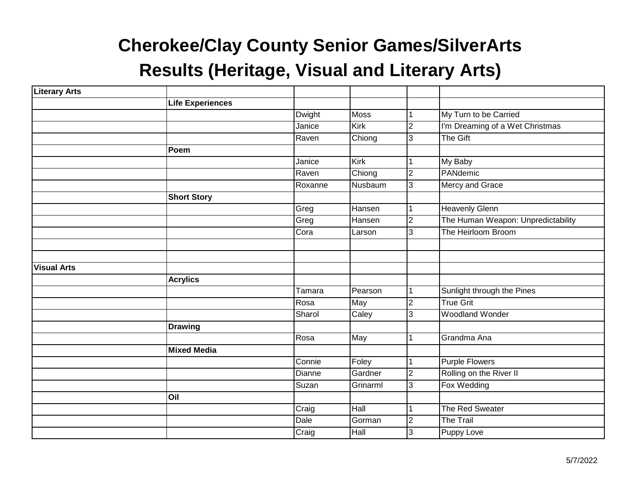| <b>Literary Arts</b> |                         |               |             |                         |                                    |
|----------------------|-------------------------|---------------|-------------|-------------------------|------------------------------------|
|                      | <b>Life Experiences</b> |               |             |                         |                                    |
|                      |                         | <b>Dwight</b> | Moss        |                         | My Turn to be Carried              |
|                      |                         | Janice        | Kirk        | $\overline{2}$          | I'm Dreaming of a Wet Christmas    |
|                      |                         | Raven         | Chiong      | က                       | The Gift                           |
|                      | Poem                    |               |             |                         |                                    |
|                      |                         | Janice        | Kirk        |                         | My Baby                            |
|                      |                         | Raven         | Chiong      | $\overline{\mathsf{c}}$ | PANdemic                           |
|                      |                         | Roxanne       | Nusbaum     | က                       | Mercy and Grace                    |
|                      | <b>Short Story</b>      |               |             |                         |                                    |
|                      |                         | Greg          | Hansen      |                         | <b>Heavenly Glenn</b>              |
|                      |                         | Greg          | Hansen      | $\overline{2}$          | The Human Weapon: Unpredictability |
|                      |                         | Cora          | Larson      | 3                       | The Heirloom Broom                 |
|                      |                         |               |             |                         |                                    |
|                      |                         |               |             |                         |                                    |
| <b>Visual Arts</b>   |                         |               |             |                         |                                    |
|                      | <b>Acrylics</b>         |               |             |                         |                                    |
|                      |                         | Tamara        | Pearson     | 1                       | Sunlight through the Pines         |
|                      |                         | Rosa          | May         | CV                      | <b>True Grit</b>                   |
|                      |                         | Sharol        | Caley       | $\overline{3}$          | <b>Woodland Wonder</b>             |
|                      | <b>Drawing</b>          |               |             |                         |                                    |
|                      |                         | Rosa          | May         |                         | Grandma Ana                        |
|                      | <b>Mixed Media</b>      |               |             |                         |                                    |
|                      |                         | Connie        | Foley       | 1                       | <b>Purple Flowers</b>              |
|                      |                         | Dianne        | Gardner     | $\overline{2}$          | Rolling on the River II            |
|                      |                         | Suzan         | Grinarml    | က                       | Fox Wedding                        |
|                      | Oil                     |               |             |                         |                                    |
|                      |                         | Craig         | Hall        |                         | The Red Sweater                    |
|                      |                         | Dale          | Gorman      | $\overline{2}$          | <b>The Trail</b>                   |
|                      |                         | Craig         | <b>Hall</b> | က                       | Puppy Love                         |